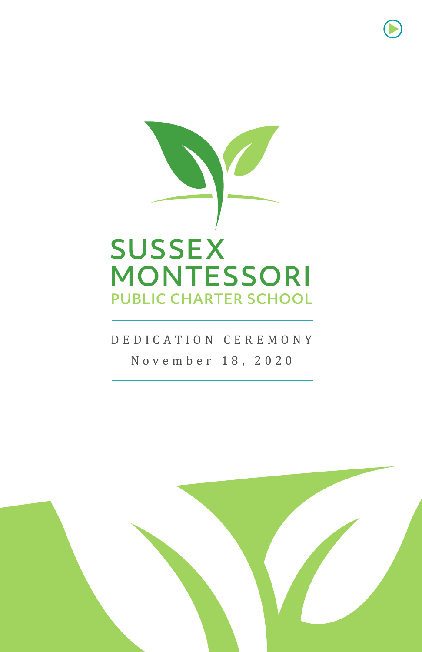

# DEDICATION CEREMONY November 18, 2020

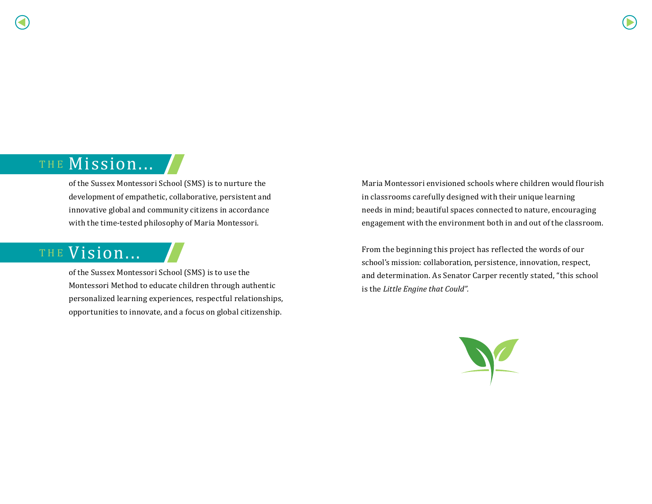# THE Mission... /

of the Sussex Montessori School (SMS) is to nurture the development of empathetic, collaborative, persistent and innovative global and community citizens in accordance with the time-tested philosophy of Maria Montessori.

# THE Vision...

of the Sussex Montessori School (SMS) is to use the Montessori Method to educate children through authentic personalized learning experiences, respectful relationships, opportunities to innovate, and a focus on global citizenship.

Maria Montessori envisioned schools where children would flourish in classrooms carefully designed with their unique learning needs in mind; beautiful spaces connected to nature, encouraging engagement with the environment both in and out of the classroom.

From the beginning this project has reflected the words of our school's mission: collaboration, persistence, innovation, respect, and determination. As Senator Carper recently stated, "this school is the *Little Engine that Could".*

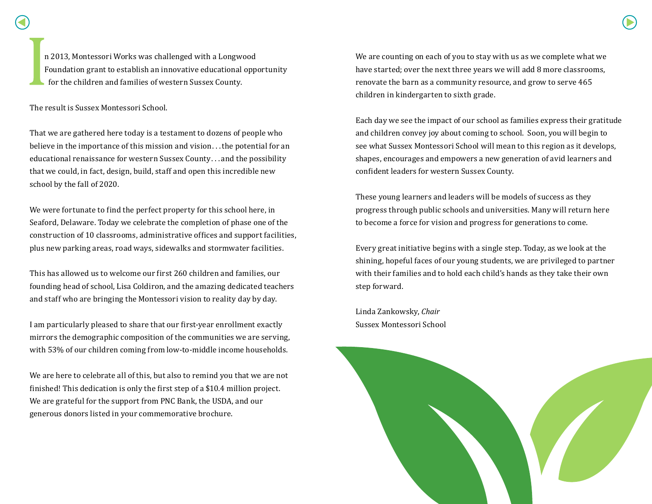n 2013, Montessori Works was challenged with a Longwood Foundation grant to establish an innovative educational opportunity for the children and families of western Sussex County.

The result is Sussex Montessori School.

That we are gathered here today is a testament to dozens of people who believe in the importance of this mission and vision . . .the potential for an educational renaissance for western Sussex County. . . and the possibility that we could, in fact, design, build, staff and open this incredible new school by the fall of 2020.

We were fortunate to find the perfect property for this school here, in Seaford, Delaware. Today we celebrate the completion of phase one of the construction of 10 classrooms, administrative offices and support facilities, plus new parking areas, road ways, sidewalks and stormwater facilities.

This has allowed us to welcome our first 260 children and families, our founding head of school, Lisa Coldiron, and the amazing dedicated teachers and staff who are bringing the Montessori vision to reality day by day.

I am particularly pleased to share that our first-year enrollment exactly mirrors the demographic composition of the communities we are serving, with 53% of our children coming from low-to-middle income households.

We are here to celebrate all of this, but also to remind you that we are not finished! This dedication is only the first step of a \$10.4 million project. We are grateful for the support from PNC Bank, the USDA, and our generous donors listed in your commemorative brochure.

We are counting on each of you to stay with us as we complete what we have started; over the next three years we will add 8 more classrooms, renovate the barn as a community resource, and grow to serve 465 children in kindergarten to sixth grade.

Each day we see the impact of our school as families express their gratitude and children convey joy about coming to school. Soon, you will begin to see what Sussex Montessori School will mean to this region as it develops, shapes, encourages and empowers a new generation of avid learners and confident leaders for western Sussex County.

These young learners and leaders will be models of success as they progress through public schools and universities. Many will return here to become a force for vision and progress for generations to come.

Every great initiative begins with a single step. Today, as we look at the shining, hopeful faces of our young students, we are privileged to partner with their families and to hold each child's hands as they take their own step forward.

Linda Zankowsky, *Chair* Sussex Montessori School

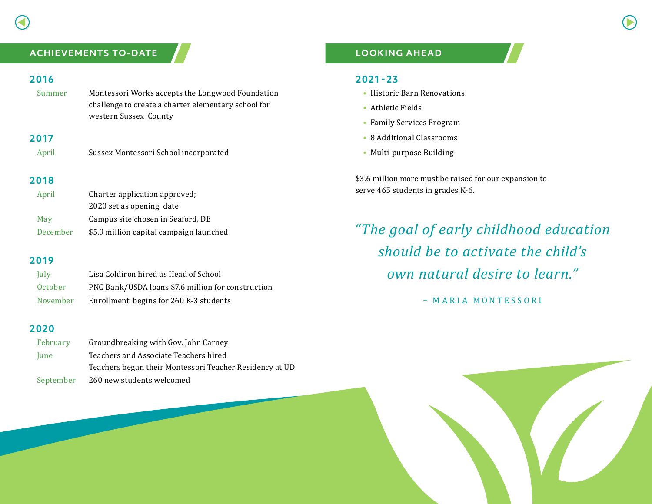# **ACHIEVEMENTS TO-DATE**

## **2016**

Summer Montessori Works accepts the Longwood Foundation challenge to create a charter elementary school for western Sussex County

## **2017**

| April | Sussex Montessori School incorporated |
|-------|---------------------------------------|
|       |                                       |

# **2018**

| April           | Charter application approved;           |
|-----------------|-----------------------------------------|
|                 | 2020 set as opening date                |
| May             | Campus site chosen in Seaford, DE       |
| <b>December</b> | \$5.9 million capital campaign launched |

#### **2019**

| July     | Lisa Coldiron hired as Head of School              |
|----------|----------------------------------------------------|
| 0ctober  | PNC Bank/USDA loans \$7.6 million for construction |
| November | Enrollment begins for 260 K-3 students             |

## **2020**

| February    | Groundbreaking with Gov. John Carney                    |
|-------------|---------------------------------------------------------|
| <b>lune</b> | Teachers and Associate Teachers hired                   |
|             | Teachers began their Montessori Teacher Residency at UD |
| September   | 260 new students welcomed                               |

# **LOOKING AHEAD**

## **2021-23**

- Historic Barn Renovations
- Athletic Fields
- Family Services Program
- 8 Additional Classrooms
- Multi-purpose Building

\$3.6 million more must be raised for our expansion to serve 465 students in grades K-6.

# *"The goal of early childhood education should be to activate the child's own natural desire to learn."*

– MARIA MONTESSORI

DEDICATION CEREMONY

November 19, 2020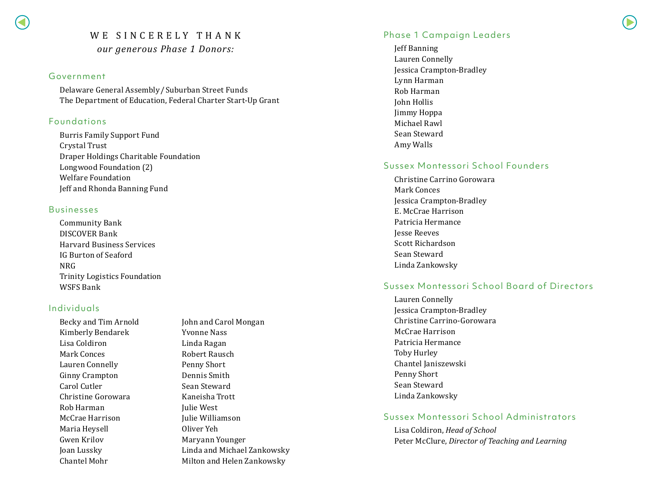# WE SINCERELY THANK *our generous Phase 1 Donors:*

#### Government

Delaware General Assembly / Suburban Street Funds The Department of Education, Federal Charter Start-Up Grant

#### Foundations

Burris Family Support Fund Crystal Trust Draper Holdings Charitable Foundation Longwood Foundation (2) Welfare Foundation Jeff and Rhonda Banning Fund

#### Businesses

Community Bank DISCOVER Bank Harvard Business Services IG Burton of Seaford NRG Trinity Logistics Foundation WSFS Bank

## Individuals

Becky and Tim Arnold Kimberly Bendarek Lisa Coldiron Mark Conces Lauren Connelly Ginny Crampton Carol Cutler Christine Gorowara Rob Harman McCrae Harrison Maria Heysell Gwen Krilov Joan Lussky Chantel Mohr

John and Carol Mongan Yvonne Nass Linda Ragan Robert Rausch Penny Short Dennis Smith Sean Steward Kaneisha Trott Julie West Julie Williamson Oliver Yeh Maryann Younger Linda and Michael Zankowsky Milton and Helen Zankowsky

### Phase 1 Campaign Leaders

Jeff Banning Lauren Connelly Jessica Crampton-Bradley Lynn Harman Rob Harman John Hollis Jimmy Hoppa Michael Rawl Sean Steward Amy Walls

#### Sussex Montessori School Founders

Christine Carrino Gorowara Mark Conces Jessica Crampton-Bradley E. McCrae Harrison Patricia Hermance Jesse Reeves Scott Richardson Sean Steward Linda Zankowsky

## Sussex Montessori School Board of Directors

Lauren Connelly Jessica Crampton-Bradley Christine Carrino-Gorowara McCrae Harrison Patricia Hermance Toby Hurley Chantel Janiszewski Penny Short Sean Steward Linda Zankowsky

#### Sussex Montessori School Administrators

Lisa Coldiron, *Head of School* Peter McClure, *Director of Teaching and Learning*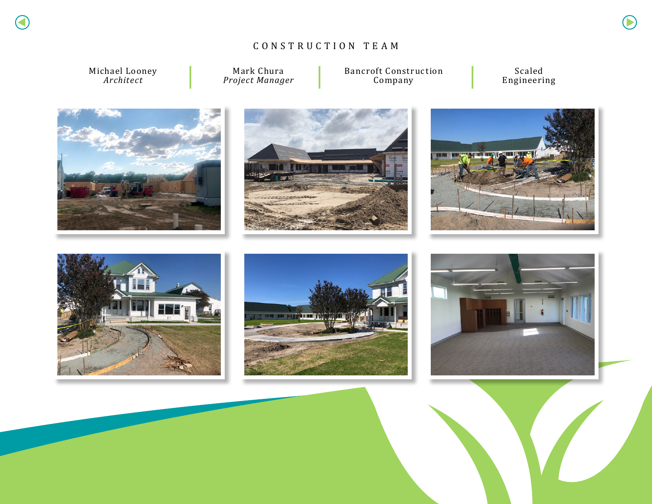# CONSTRUCTION TEAM

Michael Looney *Architect*

Mark Chura *Project Manager* Bancroft Construction Company

Scaled Engineering













DEDICATION CEREMONY

November 19, 2020